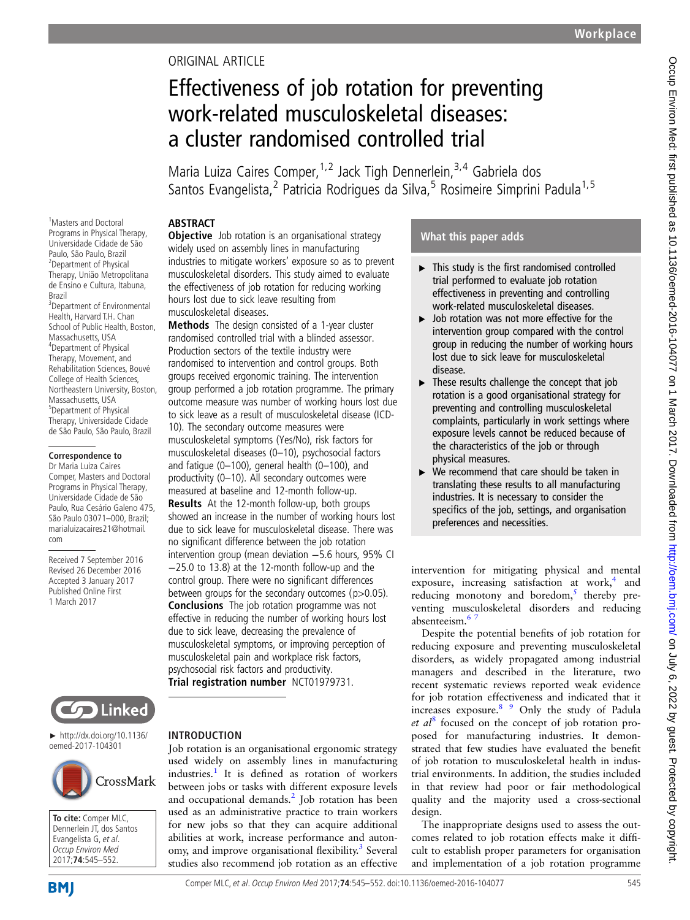## ORIGINAL ARTICLE

# Effectiveness of job rotation for preventing work-related musculoskeletal diseases: a cluster randomised controlled trial

Maria Luiza Caires Comper,  $1,2$  Jack Tigh Dennerlein,  $3,4$  Gabriela dos Santos Evangelista,<sup>2</sup> Patricia Rodrigues da Silva,<sup>5</sup> Rosimeire Simprini Padula<sup>1,5</sup>

## **ABSTRACT**

<sup>1</sup>Masters and Doctoral Programs in Physical Therapy, Universidade Cidade de São Paulo, São Paulo, Brazil <sup>2</sup>Department of Physical Therapy, União Metropolitana de Ensino e Cultura, Itabuna, Brazil 3 Department of Environmental Health, Harvard T.H. Chan School of Public Health, Boston, Massachusetts, USA 4 Department of Physical Therapy, Movement, and Rehabilitation Sciences, Bouvé College of Health Sciences, Northeastern University, Boston, Massachusetts, USA 5 Department of Physical Therapy, Universidade Cidade de São Paulo, São Paulo, Brazil

#### **Correspondence to**

Dr Maria Luiza Caires Comper, Masters and Doctoral Programs in Physical Therapy, Universidade Cidade de São Paulo, Rua Cesário Galeno 475, São Paulo 03071–000, Brazil; marialuizacaires21@hotmail. com

Received 7 September 2016 Revised 26 December 2016 Accepted 3 January 2017 Published Online First 1 March 2017



Methods The design consisted of a 1-year cluster randomised controlled trial with a blinded assessor. Production sectors of the textile industry were randomised to intervention and control groups. Both groups received ergonomic training. The intervention group performed a job rotation programme. The primary outcome measure was number of working hours lost due to sick leave as a result of musculoskeletal disease (ICD-10). The secondary outcome measures were musculoskeletal symptoms (Yes/No), risk factors for musculoskeletal diseases (0–10), psychosocial factors and fatigue (0–100), general health (0–100), and productivity (0–10). All secondary outcomes were measured at baseline and 12-month follow-up. Results At the 12-month follow-up, both groups showed an increase in the number of working hours lost due to sick leave for musculoskeletal disease. There was no significant difference between the job rotation intervention group (mean deviation −5.6 hours, 95% CI −25.0 to 13.8) at the 12-month follow-up and the control group. There were no significant differences between groups for the secondary outcomes (p>0.05). Conclusions The job rotation programme was not effective in reducing the number of working hours lost due to sick leave, decreasing the prevalence of musculoskeletal symptoms, or improving perception of musculoskeletal pain and workplace risk factors, psychosocial risk factors and productivity. Trial registration number [NCT01979731](https://clinicaltrials.gov/ct2/show/NCT01979731).



► http://dx.doi.org/10.1136/ oemed-2017-104301



**To cite:** Comper MLC, Dennerlein JT, dos
Santos Evangelista G , et al. Occup Environ Med 2017;**74**:545–552.

#### INTRODUCTION

Job rotation is an organisational ergonomic strategy used widely on assembly lines in manufacturing industries.<sup>[1](#page-7-0)</sup> It is defined as rotation of workers between jobs or tasks with different exposure levels and occupational demands.<sup>2</sup> Job rotation has been used as an administrative practice to train workers for new jobs so that they can acquire additional abilities at work, increase performance and auton-omy, and improve organisational flexibility.<sup>[3](#page-7-0)</sup> Several studies also recommend job rotation as an effective

## What this paper adds

- ▸ This study is the first randomised controlled trial performed to evaluate job rotation effectiveness in preventing and controlling work-related musculoskeletal diseases.
- ▶ Job rotation was not more effective for the intervention group compared with the control group in reducing the number of working hours lost due to sick leave for musculoskeletal disease.
- $\blacktriangleright$  These results challenge the concept that job rotation is a good organisational strategy for preventing and controlling musculoskeletal complaints, particularly in work settings where exposure levels cannot be reduced because of the characteristics of the job or through physical measures.
- $\triangleright$  We recommend that care should be taken in translating these results to all manufacturing industries. It is necessary to consider the specifics of the job, settings, and organisation preferences and necessities.

intervention for mitigating physical and mental exposure, increasing satisfaction at work, $4$  and reducing monotony and boredom, $<sup>5</sup>$  $<sup>5</sup>$  $<sup>5</sup>$  thereby pre-</sup> venting musculoskeletal disorders and reducing absenteeism.<sup>6</sup>

Despite the potential benefits of job rotation for reducing exposure and preventing musculoskeletal disorders, as widely propagated among industrial managers and described in the literature, two recent systematic reviews reported weak evidence for job rotation effectiveness and indicated that it increases exposure.[8 9](#page-7-0) Only the study of Padula et  $al^8$  $al^8$  focused on the concept of job rotation proposed for manufacturing industries. It demonstrated that few studies have evaluated the benefit of job rotation to musculoskeletal health in industrial environments. In addition, the studies included in that review had poor or fair methodological quality and the majority used a cross-sectional design.

The inappropriate designs used to assess the outcomes related to job rotation effects make it difficult to establish proper parameters for organisation and implementation of a job rotation programme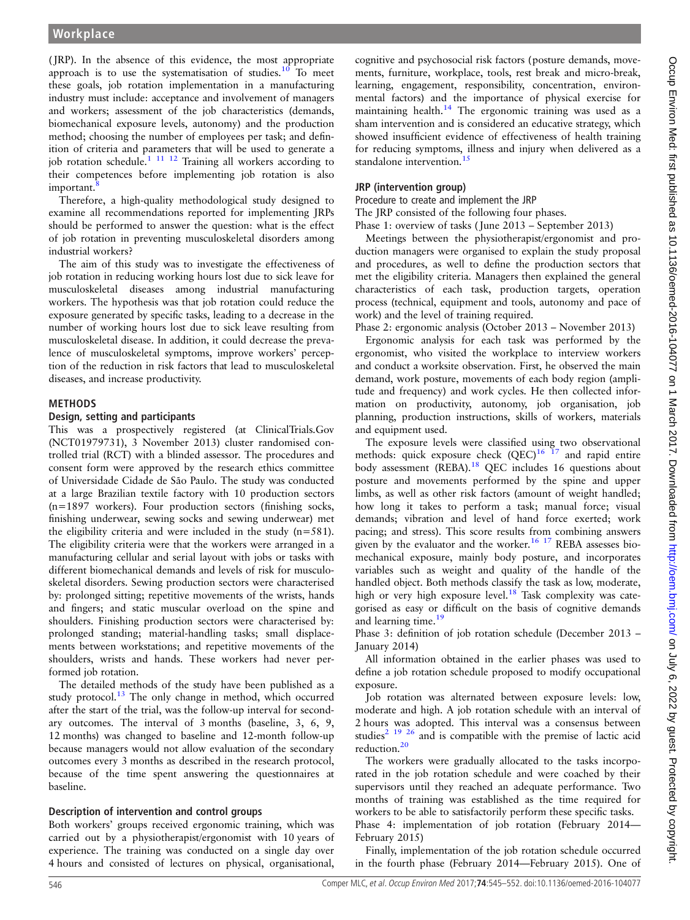( JRP). In the absence of this evidence, the most appropriate approach is to use the systematisation of studies.<sup>[10](#page-7-0)</sup> To meet these goals, job rotation implementation in a manufacturing industry must include: acceptance and involvement of managers and workers; assessment of the job characteristics (demands, biomechanical exposure levels, autonomy) and the production method; choosing the number of employees per task; and definition of criteria and parameters that will be used to generate a job rotation schedule.<sup>1 11 12</sup> Training all workers according to their competences before implementing job rotation is also important.

Therefore, a high-quality methodological study designed to examine all recommendations reported for implementing JRPs should be performed to answer the question: what is the effect of job rotation in preventing musculoskeletal disorders among industrial workers?

The aim of this study was to investigate the effectiveness of job rotation in reducing working hours lost due to sick leave for musculoskeletal diseases among industrial manufacturing workers. The hypothesis was that job rotation could reduce the exposure generated by specific tasks, leading to a decrease in the number of working hours lost due to sick leave resulting from musculoskeletal disease. In addition, it could decrease the prevalence of musculoskeletal symptoms, improve workers' perception of the reduction in risk factors that lead to musculoskeletal diseases, and increase productivity.

## **METHODS**

#### Design, setting and participants

This was a prospectively registered (at ClinicalTrials.Gov (NCT01979731), 3 November 2013) cluster randomised controlled trial (RCT) with a blinded assessor. The procedures and consent form were approved by the research ethics committee of Universidade Cidade de São Paulo. The study was conducted at a large Brazilian textile factory with 10 production sectors (n=1897 workers). Four production sectors (finishing socks, finishing underwear, sewing socks and sewing underwear) met the eligibility criteria and were included in the study (n=581). The eligibility criteria were that the workers were arranged in a manufacturing cellular and serial layout with jobs or tasks with different biomechanical demands and levels of risk for musculoskeletal disorders. Sewing production sectors were characterised by: prolonged sitting; repetitive movements of the wrists, hands and fingers; and static muscular overload on the spine and shoulders. Finishing production sectors were characterised by: prolonged standing; material-handling tasks; small displacements between workstations; and repetitive movements of the shoulders, wrists and hands. These workers had never performed job rotation.

The detailed methods of the study have been published as a study protocol. $13$  The only change in method, which occurred after the start of the trial, was the follow-up interval for secondary outcomes. The interval of 3 months (baseline, 3, 6, 9, 12 months) was changed to baseline and 12-month follow-up because managers would not allow evaluation of the secondary outcomes every 3 months as described in the research protocol, because of the time spent answering the questionnaires at baseline.

## Description of intervention and control groups

Both workers' groups received ergonomic training, which was carried out by a physiotherapist/ergonomist with 10 years of experience. The training was conducted on a single day over 4 hours and consisted of lectures on physical, organisational,

cognitive and psychosocial risk factors (posture demands, movements, furniture, workplace, tools, rest break and micro-break, learning, engagement, responsibility, concentration, environmental factors) and the importance of physical exercise for maintaining health.[14](#page-7-0) The ergonomic training was used as a sham intervention and is considered an educative strategy, which showed insufficient evidence of effectiveness of health training for reducing symptoms, illness and injury when delivered as a standalone intervention.<sup>[15](#page-7-0)</sup>

## JRP (intervention group)

Procedure to create and implement the JRP

The JRP consisted of the following four phases.

Phase 1: overview of tasks (June 2013 – September 2013)

Meetings between the physiotherapist/ergonomist and production managers were organised to explain the study proposal and procedures, as well to define the production sectors that met the eligibility criteria. Managers then explained the general characteristics of each task, production targets, operation process (technical, equipment and tools, autonomy and pace of work) and the level of training required.

Phase 2: ergonomic analysis (October 2013 – November 2013)

Ergonomic analysis for each task was performed by the ergonomist, who visited the workplace to interview workers and conduct a worksite observation. First, he observed the main demand, work posture, movements of each body region (amplitude and frequency) and work cycles. He then collected information on productivity, autonomy, job organisation, job planning, production instructions, skills of workers, materials and equipment used.

The exposure levels were classified using two observational methods: quick exposure check  $(QEC)^{16}$  17 and rapid entire body assessment (REBA).<sup>[18](#page-7-0)</sup> QEC includes 16 questions about posture and movements performed by the spine and upper limbs, as well as other risk factors (amount of weight handled; how long it takes to perform a task; manual force; visual demands; vibration and level of hand force exerted; work pacing; and stress). This score results from combining answers given by the evaluator and the worker.<sup>[16 17](#page-7-0)</sup> REBA assesses biomechanical exposure, mainly body posture, and incorporates variables such as weight and quality of the handle of the handled object. Both methods classify the task as low, moderate, high or very high exposure level.<sup>[18](#page-7-0)</sup> Task complexity was categorised as easy or difficult on the basis of cognitive demands and learning time.<sup>[19](#page-7-0)</sup>

Phase 3: definition of job rotation schedule (December 2013 – January 2014)

All information obtained in the earlier phases was used to define a job rotation schedule proposed to modify occupational exposure.

Job rotation was alternated between exposure levels: low, moderate and high. A job rotation schedule with an interval of 2 hours was adopted. This interval was a consensus between studies<sup>[2 19 26](#page-7-0)</sup> and is compatible with the premise of lactic acid reduction[.20](#page-7-0)

The workers were gradually allocated to the tasks incorporated in the job rotation schedule and were coached by their supervisors until they reached an adequate performance. Two months of training was established as the time required for workers to be able to satisfactorily perform these specific tasks. Phase 4: implementation of job rotation (February 2014— February 2015)

Finally, implementation of the job rotation schedule occurred in the fourth phase (February 2014—February 2015). One of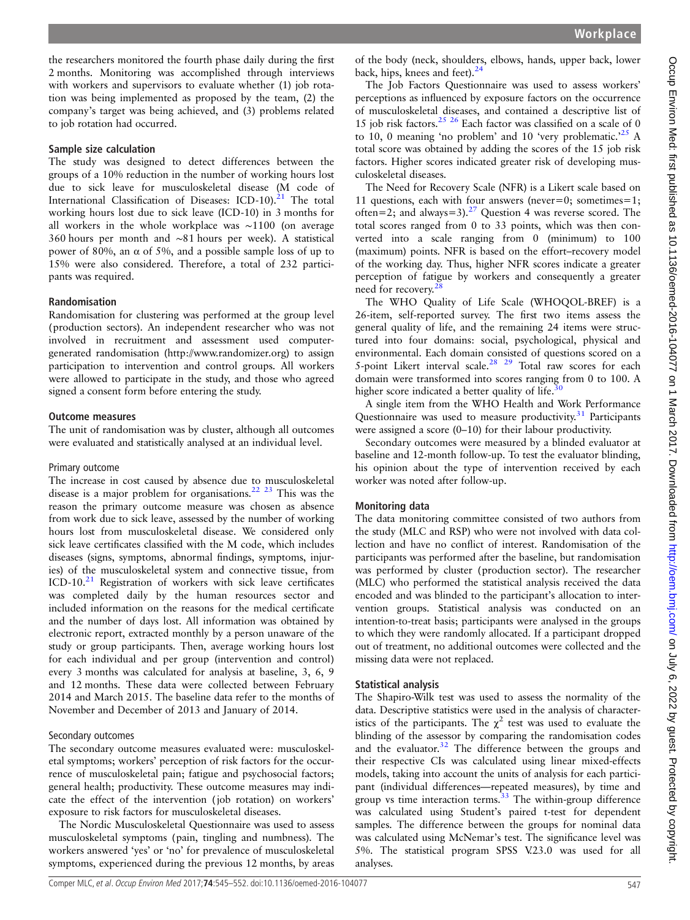the researchers monitored the fourth phase daily during the first 2 months. Monitoring was accomplished through interviews with workers and supervisors to evaluate whether (1) job rotation was being implemented as proposed by the team, (2) the company's target was being achieved, and (3) problems related to job rotation had occurred.

#### Sample size calculation

The study was designed to detect differences between the groups of a 10% reduction in the number of working hours lost due to sick leave for musculoskeletal disease (M code of International Classification of Diseases:  $ICD-10$ ).<sup>[21](#page-7-0)</sup> The total working hours lost due to sick leave (ICD-10) in 3 months for all workers in the whole workplace was ∼1100 (on average 360 hours per month and ∼81 hours per week). A statistical power of 80%, an α of 5%, and a possible sample loss of up to 15% were also considered. Therefore, a total of 232 participants was required.

#### Randomisation

Randomisation for clustering was performed at the group level (production sectors). An independent researcher who was not involved in recruitment and assessment used computergenerated randomisation (<http://www.randomizer.org>) to assign participation to intervention and control groups. All workers were allowed to participate in the study, and those who agreed signed a consent form before entering the study.

#### Outcome measures

The unit of randomisation was by cluster, although all outcomes were evaluated and statistically analysed at an individual level.

#### Primary outcome

The increase in cost caused by absence due to musculoskeletal disease is a major problem for organisations.<sup>[22 23](#page-7-0)</sup> This was the reason the primary outcome measure was chosen as absence from work due to sick leave, assessed by the number of working hours lost from musculoskeletal disease. We considered only sick leave certificates classified with the M code, which includes diseases (signs, symptoms, abnormal findings, symptoms, injuries) of the musculoskeletal system and connective tissue, from  $ICD-10.<sup>21</sup>$  $ICD-10.<sup>21</sup>$  $ICD-10.<sup>21</sup>$  Registration of workers with sick leave certificates was completed daily by the human resources sector and included information on the reasons for the medical certificate and the number of days lost. All information was obtained by electronic report, extracted monthly by a person unaware of the study or group participants. Then, average working hours lost for each individual and per group (intervention and control) every 3 months was calculated for analysis at baseline, 3, 6, 9 and 12 months. These data were collected between February 2014 and March 2015. The baseline data refer to the months of November and December of 2013 and January of 2014.

#### Secondary outcomes

The secondary outcome measures evaluated were: musculoskeletal symptoms; workers' perception of risk factors for the occurrence of musculoskeletal pain; fatigue and psychosocial factors; general health; productivity. These outcome measures may indicate the effect of the intervention ( job rotation) on workers' exposure to risk factors for musculoskeletal diseases.

The Nordic Musculoskeletal Questionnaire was used to assess musculoskeletal symptoms (pain, tingling and numbness). The workers answered 'yes' or 'no' for prevalence of musculoskeletal symptoms, experienced during the previous 12 months, by areas

of the body (neck, shoulders, elbows, hands, upper back, lower back, hips, knees and feet). $^{24}$  $^{24}$  $^{24}$ 

The Job Factors Questionnaire was used to assess workers' perceptions as influenced by exposure factors on the occurrence of musculoskeletal diseases, and contained a descriptive list of 15 job risk factors.<sup>[25 26](#page-7-0)</sup> Each factor was classified on a scale of 0 to 10, 0 meaning 'no problem' and 10 'very problematic.'<sup>[25](#page-7-0)</sup> A total score was obtained by adding the scores of the 15 job risk factors. Higher scores indicated greater risk of developing musculoskeletal diseases.

The Need for Recovery Scale (NFR) is a Likert scale based on 11 questions, each with four answers (never=0; sometimes=1; often=2; and always=3).<sup>[27](#page-7-0)</sup> Question 4 was reverse scored. The total scores ranged from 0 to 33 points, which was then converted into a scale ranging from 0 (minimum) to 100 (maximum) points. NFR is based on the effort–recovery model of the working day. Thus, higher NFR scores indicate a greater perception of fatigue by workers and consequently a greater need for recovery.<sup>2</sup>

The WHO Quality of Life Scale (WHOQOL-BREF) is a 26-item, self-reported survey. The first two items assess the general quality of life, and the remaining 24 items were structured into four domains: social, psychological, physical and environmental. Each domain consisted of questions scored on a 5-point Likert interval scale.<sup>28</sup> <sup>29</sup> Total raw scores for each domain were transformed into scores ranging from 0 to 100. A higher score indicated a better quality of life. $\frac{3}{5}$ 

A single item from the WHO Health and Work Performance Questionnaire was used to measure productivity.<sup>[31](#page-7-0)</sup> Participants were assigned a score (0–10) for their labour productivity.

Secondary outcomes were measured by a blinded evaluator at baseline and 12-month follow-up. To test the evaluator blinding, his opinion about the type of intervention received by each worker was noted after follow-up.

#### Monitoring data

The data monitoring committee consisted of two authors from the study (MLC and RSP) who were not involved with data collection and have no conflict of interest. Randomisation of the participants was performed after the baseline, but randomisation was performed by cluster (production sector). The researcher (MLC) who performed the statistical analysis received the data encoded and was blinded to the participant's allocation to intervention groups. Statistical analysis was conducted on an intention-to-treat basis; participants were analysed in the groups to which they were randomly allocated. If a participant dropped out of treatment, no additional outcomes were collected and the missing data were not replaced.

#### Statistical analysis

The Shapiro-Wilk test was used to assess the normality of the data. Descriptive statistics were used in the analysis of characteristics of the participants. The  $\chi^2$  test was used to evaluate the blinding of the assessor by comparing the randomisation codes and the evaluator.<sup>[32](#page-7-0)</sup> The difference between the groups and their respective CIs was calculated using linear mixed-effects models, taking into account the units of analysis for each participant (individual differences—repeated measures), by time and group vs time interaction terms. $33$  The within-group difference was calculated using Student's paired t-test for dependent samples. The difference between the groups for nominal data was calculated using McNemar's test. The significance level was 5%. The statistical program SPSS V.23.0 was used for all analyses.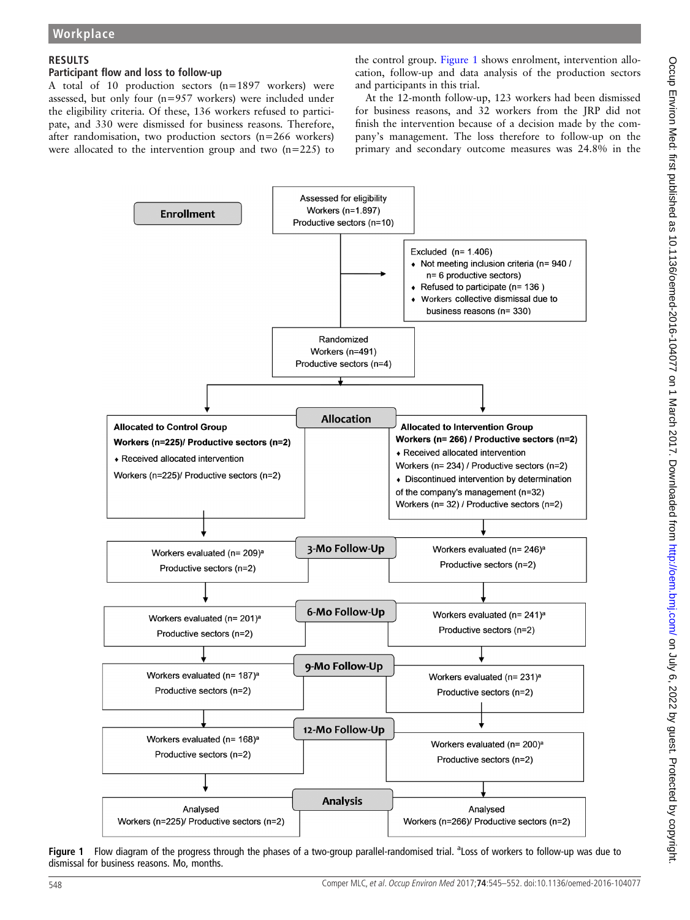## RESULTS

#### Participant flow and loss to follow-up

A total of 10 production sectors (n=1897 workers) were assessed, but only four (n=957 workers) were included under the eligibility criteria. Of these, 136 workers refused to participate, and 330 were dismissed for business reasons. Therefore, after randomisation, two production sectors (n=266 workers) were allocated to the intervention group and two  $(n=225)$  to

the control group. Figure 1 shows enrolment, intervention allocation, follow-up and data analysis of the production sectors and participants in this trial.

At the 12-month follow-up, 123 workers had been dismissed for business reasons, and 32 workers from the JRP did not finish the intervention because of a decision made by the company's management. The loss therefore to follow-up on the primary and secondary outcome measures was 24.8% in the



Figure 1 Flow diagram of the progress through the phases of a two-group parallel-randomised trial. <sup>a</sup>Loss of workers to follow-up was due to dismissal for business reasons. Mo, months.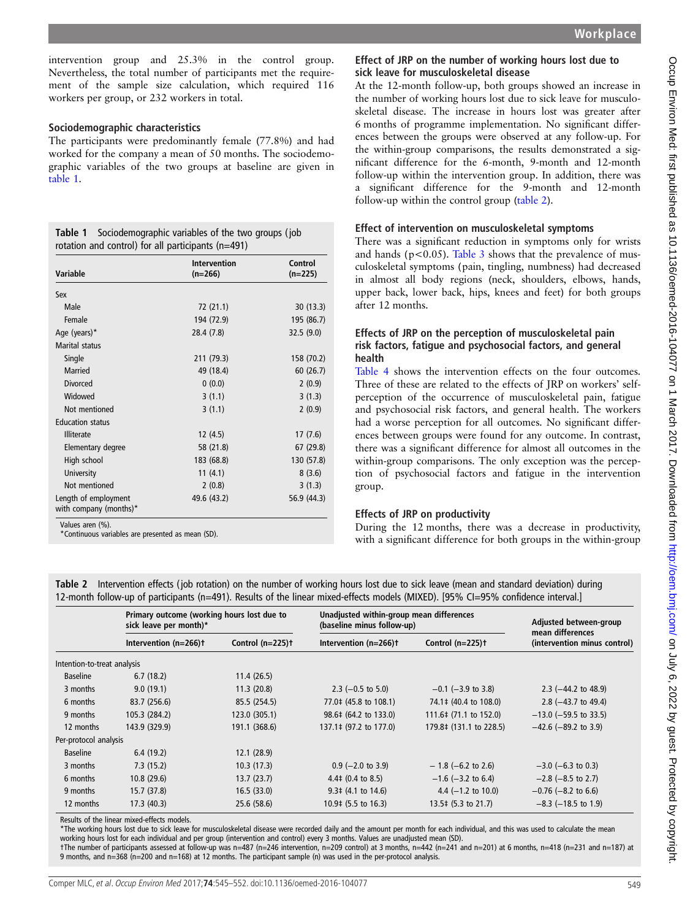intervention group and 25.3% in the control group. Nevertheless, the total number of participants met the requirement of the sample size calculation, which required 116 workers per group, or 232 workers in total.

#### Sociodemographic characteristics

The participants were predominantly female (77.8%) and had worked for the company a mean of 50 months. The sociodemographic variables of the two groups at baseline are given in table 1.

| <b>Table 1</b> Sociodemographic variables of the two groups (job |
|------------------------------------------------------------------|
| rotation and control) for all participants $(n=491)$             |

| <b>Variable</b>                                | <b>Intervention</b><br>$(n=266)$ | Control<br>$(n=225)$ |
|------------------------------------------------|----------------------------------|----------------------|
| Sex                                            |                                  |                      |
| Male                                           | 72 (21.1)                        | 30(13.3)             |
| Female                                         | 194 (72.9)                       | 195 (86.7)           |
| Age (years)*                                   | 28.4 (7.8)                       | 32.5(9.0)            |
| Marital status                                 |                                  |                      |
| Single                                         | 211 (79.3)                       | 158 (70.2)           |
| Married                                        | 49 (18.4)                        | 60(26.7)             |
| <b>Divorced</b>                                | 0(0.0)                           | 2(0.9)               |
| Widowed                                        | 3(1.1)                           | 3(1.3)               |
| Not mentioned                                  | 3(1.1)                           | 2(0.9)               |
| <b>Education status</b>                        |                                  |                      |
| <b>Illiterate</b>                              | 12(4.5)                          | 17(7.6)              |
| Elementary degree                              | 58 (21.8)                        | 67 (29.8)            |
| High school                                    | 183 (68.8)                       | 130 (57.8)           |
| University                                     | 11(4.1)                          | 8(3.6)               |
| Not mentioned                                  | 2(0.8)                           | 3(1.3)               |
| Length of employment<br>with company (months)* | 49.6 (43.2)                      | 56.9 (44.3)          |

Values aren (%).

\*Continuous variables are presented as mean (SD).

#### Effect of JRP on the number of working hours lost due to sick leave for musculoskeletal disease

At the 12-month follow-up, both groups showed an increase in the number of working hours lost due to sick leave for musculoskeletal disease. The increase in hours lost was greater after 6 months of programme implementation. No significant differences between the groups were observed at any follow-up. For the within-group comparisons, the results demonstrated a significant difference for the 6-month, 9-month and 12-month follow-up within the intervention group. In addition, there was a significant difference for the 9-month and 12-month follow-up within the control group (table 2).

#### Effect of intervention on musculoskeletal symptoms

There was a significant reduction in symptoms only for wrists and hands ( $p < 0.05$ ). [Table 3](#page-5-0) shows that the prevalence of musculoskeletal symptoms (pain, tingling, numbness) had decreased in almost all body regions (neck, shoulders, elbows, hands, upper back, lower back, hips, knees and feet) for both groups after 12 months.

#### Effects of JRP on the perception of musculoskeletal pain risk factors, fatigue and psychosocial factors, and general health

[Table 4](#page-5-0) shows the intervention effects on the four outcomes. Three of these are related to the effects of JRP on workers' selfperception of the occurrence of musculoskeletal pain, fatigue and psychosocial risk factors, and general health. The workers had a worse perception for all outcomes. No significant differences between groups were found for any outcome. In contrast, there was a significant difference for almost all outcomes in the within-group comparisons. The only exception was the perception of psychosocial factors and fatigue in the intervention group.

#### Effects of JRP on productivity

During the 12 months, there was a decrease in productivity, with a significant difference for both groups in the within-group

Table 2 Intervention effects ( job rotation) on the number of working hours lost due to sick leave (mean and standard deviation) during 12-month follow-up of participants (n=491). Results of the linear mixed-effects models (MIXED). [95% CI=95% confidence interval.]

|                             | Primary outcome (working hours lost due to<br>sick leave per month)* |                     | Unadjusted within-group mean differences<br>(baseline minus follow-up) | Adjusted between-group<br>mean differences |                                |
|-----------------------------|----------------------------------------------------------------------|---------------------|------------------------------------------------------------------------|--------------------------------------------|--------------------------------|
|                             | Intervention (n=266)t                                                | Control $(n=225)$ t | Intervention (n=266)t                                                  | Control $(n=225)$ <sup>+</sup>             | (intervention minus control)   |
| Intention-to-treat analysis |                                                                      |                     |                                                                        |                                            |                                |
| <b>Baseline</b>             | 6.7(18.2)                                                            | 11.4(26.5)          |                                                                        |                                            |                                |
| 3 months                    | 9.0(19.1)                                                            | 11.3(20.8)          | 2.3 $(-0.5$ to 5.0)                                                    | $-0.1$ ( $-3.9$ to 3.8)                    | 2.3 $(-44.2 \text{ to } 48.9)$ |
| 6 months                    | 83.7 (256.6)                                                         | 85.5 (254.5)        | 77.0‡ (45.8 to 108.1)                                                  | 74.1 ‡ (40.4 to 108.0)                     | 2.8 $(-43.7)$ to 49.4)         |
| 9 months                    | 105.3 (284.2)                                                        | 123.0 (305.1)       | 98.6‡ (64.2 to 133.0)                                                  | 111.6‡ (71.1 to 152.0)                     | $-13.0$ (-59.5 to 33.5)        |
| 12 months                   | 143.9 (329.9)                                                        | 191.1 (368.6)       | 137.1 ‡ (97.2 to 177.0)                                                | 179.8‡ (131.1 to 228.5)                    | $-42.6$ ( $-89.2$ to 3.9)      |
| Per-protocol analysis       |                                                                      |                     |                                                                        |                                            |                                |
| <b>Baseline</b>             | 6.4(19.2)                                                            | 12.1(28.9)          |                                                                        |                                            |                                |
| 3 months                    | 7.3(15.2)                                                            | 10.3(17.3)          | $0.9$ (-2.0 to 3.9)                                                    | $-1.8$ (-6.2 to 2.6)                       | $-3.0$ (-6.3 to 0.3)           |
| 6 months                    | 10.8(29.6)                                                           | 13.7(23.7)          | $4.4\pm(0.4 \text{ to } 8.5)$                                          | $-1.6$ ( $-3.2$ to 6.4)                    | $-2.8$ ( $-8.5$ to 2.7)        |
| 9 months                    | 15.7(37.8)                                                           | 16.5(33.0)          | $9.3\pm(4.1 \text{ to } 14.6)$                                         | 4.4 $(-1.2 \text{ to } 10.0)$              | $-0.76$ ( $-8.2$ to 6.6)       |
| 12 months                   | 17.3(40.3)                                                           | 25.6 (58.6)         | 10.9‡ (5.5 to 16.3)                                                    | 13.5 ‡(5.3 to 21.7)                        | $-8.3$ ( $-18.5$ to 1.9)       |

Results of the linear mixed-effects models.

\*The working hours lost due to sick leave for musculoskeletal disease were recorded daily and the amount per month for each individual, and this was used to calculate the mean working hours lost for each individual and per group (intervention and control) every 3 months. Values are unadjusted mean (SD).

†The number of participants assessed at follow-up was n=487 (n=246 intervention, n=209 control) at 3 months, n=442 (n=241 and n=201) at 6 months, n=418 (n=231 and n=187) at 9 months, and n=368 (n=200 and n=168) at 12 months. The participant sample (n) was used in the per-protocol analysis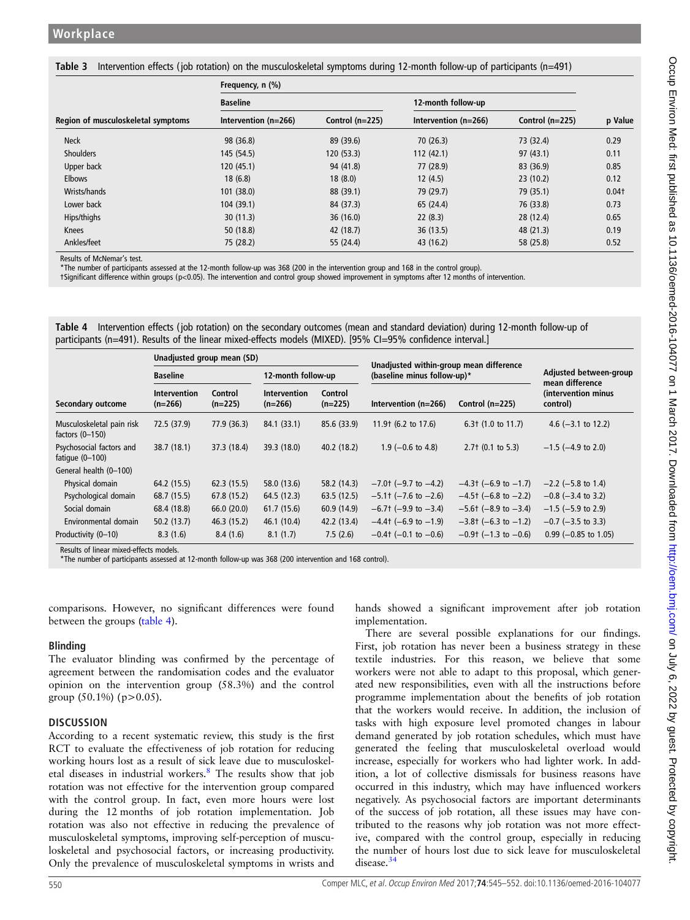<span id="page-5-0"></span>Table 3 Intervention effects ( job rotation) on the musculoskeletal symptoms during 12-month follow-up of participants (n=491)

|                                    | Frequency, n (%)     |                   |                      |                   |         |
|------------------------------------|----------------------|-------------------|----------------------|-------------------|---------|
|                                    | <b>Baseline</b>      |                   | 12-month follow-up   |                   |         |
| Region of musculoskeletal symptoms | Intervention (n=266) | Control $(n=225)$ | Intervention (n=266) | Control $(n=225)$ | p Value |
| <b>Neck</b>                        | 98 (36.8)            | 89 (39.6)         | 70(26.3)             | 73 (32.4)         | 0.29    |
| <b>Shoulders</b>                   | 145 (54.5)           | 120(53.3)         | 112(42.1)            | 97(43.1)          | 0.11    |
| Upper back                         | 120(45.1)            | 94 (41.8)         | 77 (28.9)            | 83 (36.9)         | 0.85    |
| <b>Elbows</b>                      | 18(6.8)              | 18(8.0)           | 12(4.5)              | 23(10.2)          | 0.12    |
| Wrists/hands                       | 101(38.0)            | 88 (39.1)         | 79 (29.7)            | 79 (35.1)         | $0.04+$ |
| Lower back                         | 104(39.1)            | 84 (37.3)         | 65 (24.4)            | 76 (33.8)         | 0.73    |
| Hips/thighs                        | 30(11.3)             | 36(16.0)          | 22(8.3)              | 28 (12.4)         | 0.65    |
| Knees                              | 50(18.8)             | 42 (18.7)         | 36(13.5)             | 48 (21.3)         | 0.19    |
| Ankles/feet                        | 75 (28.2)            | 55 (24.4)         | 43 (16.2)            | 58 (25.8)         | 0.52    |

Results of McNemar's test.

\*The number of participants assessed at the 12-month follow-up was 368 (200 in the intervention group and 168 in the control group).

†Significant difference within groups (p<0.05). The intervention and control group showed improvement in symptoms after 12 months of intervention.

| Table 4 Intervention effects (job rotation) on the secondary outcomes (mean and standard deviation) during 12-month follow-up of |  |  |  |
|----------------------------------------------------------------------------------------------------------------------------------|--|--|--|
| participants (n=491). Results of the linear mixed-effects models (MIXED). [95% CI=95% confidence interval.]                      |  |  |  |

|                                                | Unadjusted group mean (SD)       |                      |                                  |                      | Unadjusted within-group mean difference |                                |                                           |  |
|------------------------------------------------|----------------------------------|----------------------|----------------------------------|----------------------|-----------------------------------------|--------------------------------|-------------------------------------------|--|
|                                                | <b>Baseline</b>                  |                      | 12-month follow-up               |                      | (baseline minus follow-up)*             |                                | Adjusted between-group<br>mean difference |  |
| Secondary outcome                              | <b>Intervention</b><br>$(n=266)$ | Control<br>$(n=225)$ | <b>Intervention</b><br>$(n=266)$ | Control<br>$(n=225)$ | Intervention $(n=266)$                  | Control $(n=225)$              | (intervention minus<br>control)           |  |
| Musculoskeletal pain risk<br>factors $(0-150)$ | 72.5 (37.9)                      | 77.9 (36.3)          | 84.1 (33.1)                      | 85.6 (33.9)          | 11.9 t (6.2 to 17.6)                    | $6.3$ $(1.0 \text{ to } 11.7)$ | 4.6 $(-3.1 \text{ to } 12.2)$             |  |
| Psychosocial factors and<br>fatique $(0-100)$  | 38.7(18.1)                       | 37.3 (18.4)          | 39.3 (18.0)                      | 40.2 (18.2)          | $1.9$ (-0.6 to 4.8)                     | $2.7+$ (0.1 to 5.3)            | $-1.5$ ( $-4.9$ to 2.0)                   |  |
| General health (0-100)                         |                                  |                      |                                  |                      |                                         |                                |                                           |  |
| Physical domain                                | 64.2 (15.5)                      | 62.3(15.5)           | 58.0 (13.6)                      | 58.2 (14.3)          | $-7.0$ t (-9.7 to -4.2)                 | $-4.3$ + (-6.9 to -1.7)        | $-2.2$ ( $-5.8$ to 1.4)                   |  |
| Psychological domain                           | 68.7 (15.5)                      | 67.8(15.2)           | 64.5 (12.3)                      | 63.5(12.5)           | $-5.1$ + ( $-7.6$ to $-2.6$ )           | $-4.5$ † (-6.8 to -2.2)        | $-0.8$ ( $-3.4$ to 3.2)                   |  |
| Social domain                                  | 68.4 (18.8)                      | 66.0(20.0)           | 61.7(15.6)                       | 60.9 (14.9)          | $-6.7$ (-9.9 to $-3.4$ )                | $-5.6$ t ( $-8.9$ to $-3.4$ )  | $-1.5$ (-5.9 to 2.9)                      |  |
| Environmental domain                           | 50.2(13.7)                       | 46.3 (15.2)          | 46.1 (10.4)                      | 42.2 (13.4)          | $-4.4$ t (-6.9 to -1.9)                 | $-3.8$ t (-6.3 to -1.2)        | $-0.7$ ( $-3.5$ to 3.3)                   |  |
| Productivity (0-10)                            | 8.3(1.6)                         | 8.4(1.6)             | 8.1(1.7)                         | 7.5(2.6)             | $-0.4$ + (-0.1 to -0.6)                 | $-0.9$ (-1.3 to $-0.6$ )       | $0.99$ (-0.85 to 1.05)                    |  |

Results of linear mixed-effects models.

\*The number of participants assessed at 12-month follow-up was 368 (200 intervention and 168 control).

comparisons. However, no significant differences were found between the groups (table 4).

#### Blinding

The evaluator blinding was confirmed by the percentage of agreement between the randomisation codes and the evaluator opinion on the intervention group (58.3%) and the control group  $(50.1\%)$  (p>0.05).

#### **DISCUSSION**

According to a recent systematic review, this study is the first RCT to evaluate the effectiveness of job rotation for reducing working hours lost as a result of sick leave due to musculoskel-etal diseases in industrial workers.<sup>[8](#page-7-0)</sup> The results show that job rotation was not effective for the intervention group compared with the control group. In fact, even more hours were lost during the 12 months of job rotation implementation. Job rotation was also not effective in reducing the prevalence of musculoskeletal symptoms, improving self-perception of musculoskeletal and psychosocial factors, or increasing productivity. Only the prevalence of musculoskeletal symptoms in wrists and

hands showed a significant improvement after job rotation implementation.

There are several possible explanations for our findings. First, job rotation has never been a business strategy in these textile industries. For this reason, we believe that some workers were not able to adapt to this proposal, which generated new responsibilities, even with all the instructions before programme implementation about the benefits of job rotation that the workers would receive. In addition, the inclusion of tasks with high exposure level promoted changes in labour demand generated by job rotation schedules, which must have generated the feeling that musculoskeletal overload would increase, especially for workers who had lighter work. In addition, a lot of collective dismissals for business reasons have occurred in this industry, which may have influenced workers negatively. As psychosocial factors are important determinants of the success of job rotation, all these issues may have contributed to the reasons why job rotation was not more effective, compared with the control group, especially in reducing the number of hours lost due to sick leave for musculoskeletal disease.<sup>[34](#page-7-0)</sup>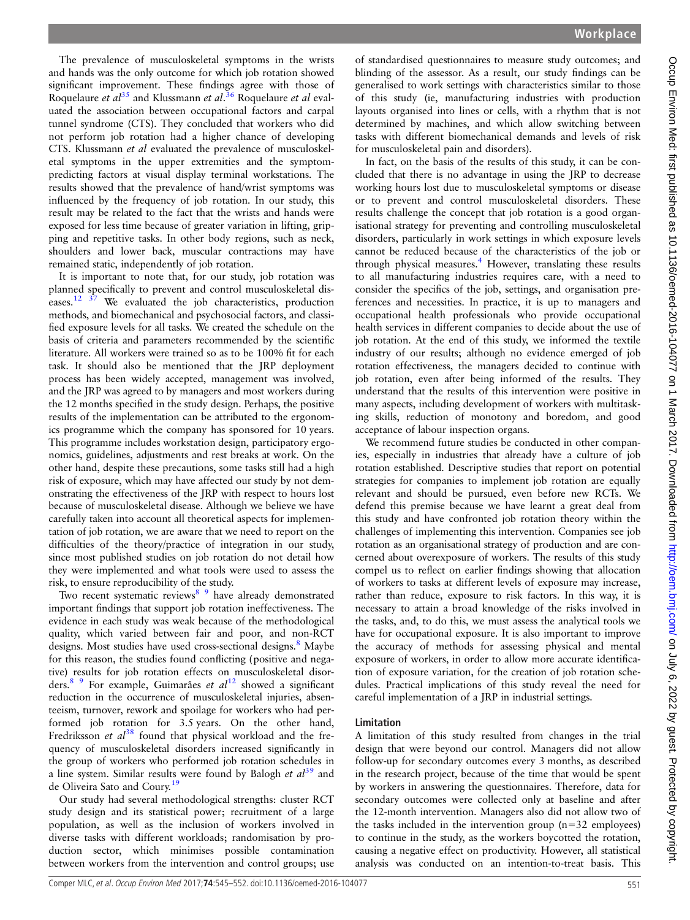The prevalence of musculoskeletal symptoms in the wrists and hands was the only outcome for which job rotation showed significant improvement. These findings agree with those of Roquelaure et al<sup>[35](#page-7-0)</sup> and Klussmann et al.<sup>[36](#page-7-0)</sup> Roquelaure et al evaluated the association between occupational factors and carpal tunnel syndrome (CTS). They concluded that workers who did not perform job rotation had a higher chance of developing CTS. Klussmann et al evaluated the prevalence of musculoskeletal symptoms in the upper extremities and the symptompredicting factors at visual display terminal workstations. The results showed that the prevalence of hand/wrist symptoms was influenced by the frequency of job rotation. In our study, this result may be related to the fact that the wrists and hands were exposed for less time because of greater variation in lifting, gripping and repetitive tasks. In other body regions, such as neck, shoulders and lower back, muscular contractions may have remained static, independently of job rotation.

It is important to note that, for our study, job rotation was planned specifically to prevent and control musculoskeletal diseases.<sup>12  $37$ </sup> We evaluated the job characteristics, production methods, and biomechanical and psychosocial factors, and classified exposure levels for all tasks. We created the schedule on the basis of criteria and parameters recommended by the scientific literature. All workers were trained so as to be 100% fit for each task. It should also be mentioned that the JRP deployment process has been widely accepted, management was involved, and the JRP was agreed to by managers and most workers during the 12 months specified in the study design. Perhaps, the positive results of the implementation can be attributed to the ergonomics programme which the company has sponsored for 10 years. This programme includes workstation design, participatory ergonomics, guidelines, adjustments and rest breaks at work. On the other hand, despite these precautions, some tasks still had a high risk of exposure, which may have affected our study by not demonstrating the effectiveness of the JRP with respect to hours lost because of musculoskeletal disease. Although we believe we have carefully taken into account all theoretical aspects for implementation of job rotation, we are aware that we need to report on the difficulties of the theory/practice of integration in our study, since most published studies on job rotation do not detail how they were implemented and what tools were used to assess the risk, to ensure reproducibility of the study.

Two recent systematic reviews<sup>8</sup> <sup>9</sup> have already demonstrated important findings that support job rotation ineffectiveness. The evidence in each study was weak because of the methodological quality, which varied between fair and poor, and non-RCT designs. Most studies have used cross-sectional designs.<sup>[8](#page-7-0)</sup> Maybe for this reason, the studies found conflicting (positive and negative) results for job rotation effects on musculoskeletal disorders.<sup>8</sup> <sup>9</sup> For example, Guimarães *et al*<sup>[12](#page-7-0)</sup> showed a significant reduction in the occurrence of musculoskeletal injuries, absenteeism, turnover, rework and spoilage for workers who had performed job rotation for 3.5 years. On the other hand, Fredriksson et  $d^{38}$  $d^{38}$  $d^{38}$  found that physical workload and the frequency of musculoskeletal disorders increased significantly in the group of workers who performed job rotation schedules in a line system. Similar results were found by Balogh *et*  $al^{39}$  $al^{39}$  $al^{39}$  and de Oliveira Sato and Coury.<sup>[19](#page-7-0)</sup>

Our study had several methodological strengths: cluster RCT study design and its statistical power; recruitment of a large population, as well as the inclusion of workers involved in diverse tasks with different workloads; randomisation by production sector, which minimises possible contamination between workers from the intervention and control groups; use

of standardised questionnaires to measure study outcomes; and blinding of the assessor. As a result, our study findings can be generalised to work settings with characteristics similar to those of this study (ie, manufacturing industries with production layouts organised into lines or cells, with a rhythm that is not determined by machines, and which allow switching between tasks with different biomechanical demands and levels of risk for musculoskeletal pain and disorders).

In fact, on the basis of the results of this study, it can be concluded that there is no advantage in using the JRP to decrease working hours lost due to musculoskeletal symptoms or disease or to prevent and control musculoskeletal disorders. These results challenge the concept that job rotation is a good organisational strategy for preventing and controlling musculoskeletal disorders, particularly in work settings in which exposure levels cannot be reduced because of the characteristics of the job or through physical measures.<sup>[4](#page-7-0)</sup> However, translating these results to all manufacturing industries requires care, with a need to consider the specifics of the job, settings, and organisation preferences and necessities. In practice, it is up to managers and occupational health professionals who provide occupational health services in different companies to decide about the use of job rotation. At the end of this study, we informed the textile industry of our results; although no evidence emerged of job rotation effectiveness, the managers decided to continue with job rotation, even after being informed of the results. They understand that the results of this intervention were positive in many aspects, including development of workers with multitasking skills, reduction of monotony and boredom, and good acceptance of labour inspection organs.

We recommend future studies be conducted in other companies, especially in industries that already have a culture of job rotation established. Descriptive studies that report on potential strategies for companies to implement job rotation are equally relevant and should be pursued, even before new RCTs. We defend this premise because we have learnt a great deal from this study and have confronted job rotation theory within the challenges of implementing this intervention. Companies see job rotation as an organisational strategy of production and are concerned about overexposure of workers. The results of this study compel us to reflect on earlier findings showing that allocation of workers to tasks at different levels of exposure may increase, rather than reduce, exposure to risk factors. In this way, it is necessary to attain a broad knowledge of the risks involved in the tasks, and, to do this, we must assess the analytical tools we have for occupational exposure. It is also important to improve the accuracy of methods for assessing physical and mental exposure of workers, in order to allow more accurate identification of exposure variation, for the creation of job rotation schedules. Practical implications of this study reveal the need for careful implementation of a JRP in industrial settings.

## Limitation

A limitation of this study resulted from changes in the trial design that were beyond our control. Managers did not allow follow-up for secondary outcomes every 3 months, as described in the research project, because of the time that would be spent by workers in answering the questionnaires. Therefore, data for secondary outcomes were collected only at baseline and after the 12-month intervention. Managers also did not allow two of the tasks included in the intervention group (n=32 employees) to continue in the study, as the workers boycotted the rotation, causing a negative effect on productivity. However, all statistical analysis was conducted on an intention-to-treat basis. This